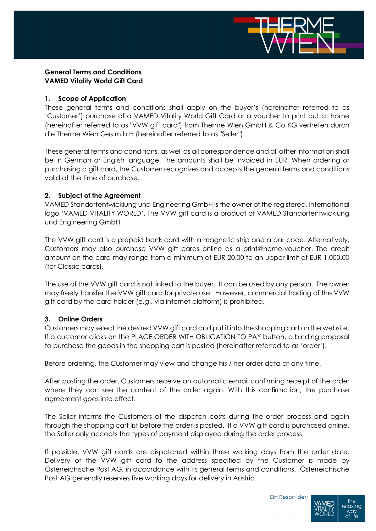

# **General Terms and Conditions VAMED Vitality World Gift Card**

#### **1. Scope of Application**

These general terms and conditions shall apply on the buyer's (hereinafter referred to as 'Customer') purchase of a VAMED Vitality World Gift Card or a voucher to print out at home (hereinafter referred to as "VVW gift card") from Therme Wien GmbH & Co KG vertreten durch die Therme Wien Ges.m.b.H (hereinafter referred to as "Seller").

These general terms and conditions, as well as all correspondence and all other information shall be in German or English language. The amounts shall be invoiced in EUR. When ordering or purchasing a gift card, the Customer recognizes and accepts the general terms and conditions valid at the time of purchase.

## **2. Subject of the Agreement**

VAMED Standortentwicklung und Engineering GmbH is the owner of the registered, international logo 'VAMED VITALITY WORLD'. The VVW gift card is a product of VAMED Standortentwicklung und Engineering GmbH.

The VVW gift card is a prepaid bank card with a magnetic strip and a bar code. Alternatively, Customers may also purchase VVW gift cards online as a print@home-voucher. The credit amount on the card may range from a minimum of EUR 20.00 to an upper limit of EUR 1,000.00 (for Classic cards).

The use of the VVW gift card is not linked to the buyer. It can be used by any person. The owner may freely transfer the VVW gift card for private use. However, commercial trading of the VVW gift card by the card holder (e.g., via internet platform) is prohibited.

# **3. Online Orders**

Customers may select the desired VVW gift card and put it into the shopping cart on the website. If a customer clicks on the PLACE ORDER WITH OBLIGATION TO PAY button, a binding proposal to purchase the goods in the shopping cart is posted (hereinafter referred to as 'order').

Before ordering, the Customer may view and change his / her order data at any time.

After posting the order, Customers receive an automatic e-mail confirming receipt of the order where they can see the content of the order again. With this confirmation, the purchase agreement goes into effect.

The Seller informs the Customers of the dispatch costs during the order process and again through the shopping cart list before the order is posted. If a VVW gift card is purchased online, the Seller only accepts the types of payment displayed during the order process.

If possible, VVW gift cards are dispatched within three working days from the order date. Delivery of the VVW gift card to the address specified by the Customer is made by Österreichische Post AG, in accordance with its general terms and conditions. Österreichische Post AG generally reserves five working days for delivery in Austria.

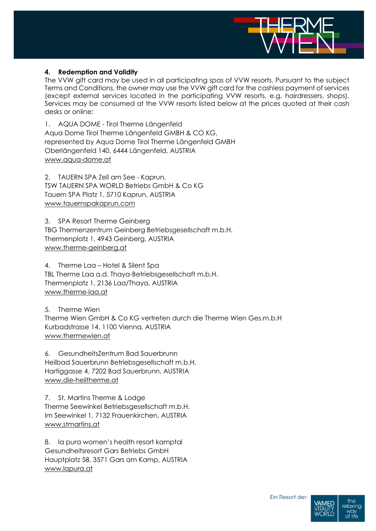

#### **4. Redemption and Validity**

The VVW gift card may be used in all participating spas of VVW resorts. Pursuant to the subject Terms and Conditions, the owner may use the VVW gift card for the cashless payment of services (except external services located in the participating VVW resorts, e.g. hairdressers, shops). Services may be consumed at the VVW resorts listed below at the prices quoted at their cash desks or online:

1. AQUA DOME - Tirol Therme Längenfeld Aqua Dome Tirol Therme Längenfeld GMBH & CO KG, represented by Aqua Dome Tirol Therme Längenfeld GMBH Oberlängenfeld 140, 6444 Längenfeld, AUSTRIA [www.aqua-dome.at](http://www.aqua-dome.at/)

2. TAUERN SPA Zell am See - Kaprun, TSW TAUERN SPA WORLD Betriebs GmbH & Co KG Tauern SPA Platz 1, 5710 Kaprun, AUSTRIA [www.tauernspakaprun.com](http://www.tauernspakaprun.com/)

3. SPA Resort Therme Geinberg TBG Thermenzentrum Geinberg Betriebsgesellschaft m.b.H. Thermenplatz 1, 4943 Geinberg, AUSTRIA [www.therme-geinberg.at](http://www.therme-geinberg.at/)

4. Therme Laa – Hotel & Silent Spa TBL Therme Laa a.d. Thaya-Betriebsgesellschaft m.b.H. Thermenplatz 1, 2136 Laa/Thaya, AUSTRIA [www.therme-laa.at](http://www.therme-laa.at/)

5. Therme Wien Therme Wien GmbH & Co KG vertreten durch die Therme Wien Ges.m.b.H Kurbadstrasse 14, 1100 Vienna, AUSTRIA [www.thermewien.at](http://www.thermewien.at/)

6. GesundheitsZentrum Bad Sauerbrunn Heilbad Sauerbrunn Betriebsgesellschaft m.b.H. Hartiggasse 4, 7202 Bad Sauerbrunn, AUSTRIA [www.die-heiltherme.at](http://www.die-heiltherme.at/)

7. St. Martins Therme & Lodge Therme Seewinkel Betriebsgesellschaft m.b.H. Im Seewinkel 1, 7132 Frauenkirchen, AUSTRIA [www.stmartins.at](http://www.stmartins.at/)

8. la pura women's health resort kamptal Gesundheitsresort Gars Betriebs GmbH Hauptplatz 58, 3571 Gars am Kamp, AUSTRIA [www.lapura.at](http://www.lapura.at/)

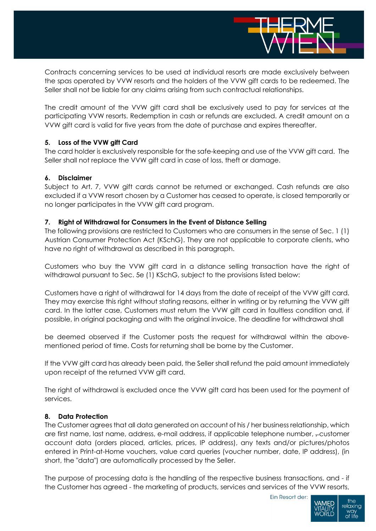

Contracts concerning services to be used at individual resorts are made exclusively between the spas operated by VVW resorts and the holders of the VVW gift cards to be redeemed. The Seller shall not be liable for any claims arising from such contractual relationships.

The credit amount of the VVW gift card shall be exclusively used to pay for services at the participating VVW resorts. Redemption in cash or refunds are excluded. A credit amount on a VVW gift card is valid for five years from the date of purchase and expires thereafter.

## **5. Loss of the VVW gift Card**

The card holder is exclusively responsible for the safe-keeping and use of the VVW gift card. The Seller shall not replace the VVW gift card in case of loss, theft or damage.

## **6. Disclaimer**

Subject to Art. 7, VVW gift cards cannot be returned or exchanged. Cash refunds are also excluded if a VVW resort chosen by a Customer has ceased to operate, is closed temporarily or no longer participates in the VVW gift card program.

## **7. Right of Withdrawal for Consumers in the Event of Distance Selling**

The following provisions are restricted to Customers who are consumers in the sense of Sec. 1 (1) Austrian Consumer Protection Act (KSchG). They are not applicable to corporate clients, who have no right of withdrawal as described in this paragraph.

Customers who buy the VVW gift card in a distance selling transaction have the right of withdrawal pursuant to Sec. 5e (1) KSchG, subject to the provisions listed below:

Customers have a right of withdrawal for 14 days from the date of receipt of the VVW gift card. They may exercise this right without stating reasons, either in writing or by returning the VVW gift card. In the latter case, Customers must return the VVW gift card in faultless condition and, if possible, in original packaging and with the original invoice. The deadline for withdrawal shall

be deemed observed if the Customer posts the request for withdrawal within the abovementioned period of time. Costs for returning shall be borne by the Customer.

If the VVW gift card has already been paid, the Seller shall refund the paid amount immediately upon receipt of the returned VVW gift card.

The right of withdrawal is excluded once the VVW gift card has been used for the payment of services.

#### **8. Data Protection**

The Customer agrees that all data generated on account of his / her business relationship, which are first name, last name, address, e-mail address, if applicable telephone number, -customer account data (orders placed, articles, prices, IP address), any texts and/or pictures/photos entered in Print-at-Home vouchers, value card queries (voucher number, date, IP address), (in short, the "data") are automatically processed by the Seller.

The purpose of processing data is the handling of the respective business transactions, and - if the Customer has agreed - the marketing of products, services and services of the VVW resorts,